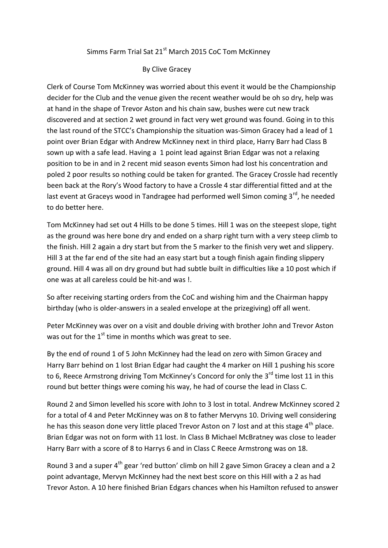## Simms Farm Trial Sat 21<sup>st</sup> March 2015 CoC Tom McKinney

## By Clive Gracey

Clerk of Course Tom McKinney was worried about this event it would be the Championship decider for the Club and the venue given the recent weather would be oh so dry, help was at hand in the shape of Trevor Aston and his chain saw, bushes were cut new track discovered and at section 2 wet ground in fact very wet ground was found. Going in to this the last round of the STCC's Championship the situation was-Simon Gracey had a lead of 1 point over Brian Edgar with Andrew McKinney next in third place, Harry Barr had Class B sown up with a safe lead. Having a 1 point lead against Brian Edgar was not a relaxing position to be in and in 2 recent mid season events Simon had lost his concentration and poled 2 poor results so nothing could be taken for granted. The Gracey Crossle had recently been back at the Rory's Wood factory to have a Crossle 4 star differential fitted and at the last event at Graceys wood in Tandragee had performed well Simon coming 3<sup>rd</sup>, he needed to do better here.

Tom McKinney had set out 4 Hills to be done 5 times. Hill 1 was on the steepest slope, tight as the ground was here bone dry and ended on a sharp right turn with a very steep climb to the finish. Hill 2 again a dry start but from the 5 marker to the finish very wet and slippery. Hill 3 at the far end of the site had an easy start but a tough finish again finding slippery ground. Hill 4 was all on dry ground but had subtle built in difficulties like a 10 post which if one was at all careless could be hit-and was !.

So after receiving starting orders from the CoC and wishing him and the Chairman happy birthday (who is older-answers in a sealed envelope at the prizegiving) off all went.

Peter McKinney was over on a visit and double driving with brother John and Trevor Aston was out for the  $1<sup>st</sup>$  time in months which was great to see.

By the end of round 1 of 5 John McKinney had the lead on zero with Simon Gracey and Harry Barr behind on 1 lost Brian Edgar had caught the 4 marker on Hill 1 pushing his score to 6, Reece Armstrong driving Tom McKinney's Concord for only the 3<sup>rd</sup> time lost 11 in this round but better things were coming his way, he had of course the lead in Class C.

Round 2 and Simon levelled his score with John to 3 lost in total. Andrew McKinney scored 2 for a total of 4 and Peter McKinney was on 8 to father Mervyns 10. Driving well considering he has this season done very little placed Trevor Aston on 7 lost and at this stage 4<sup>th</sup> place. Brian Edgar was not on form with 11 lost. In Class B Michael McBratney was close to leader Harry Barr with a score of 8 to Harrys 6 and in Class C Reece Armstrong was on 18.

Round 3 and a super  $4<sup>th</sup>$  gear 'red button' climb on hill 2 gave Simon Gracey a clean and a 2 point advantage, Mervyn McKinney had the next best score on this Hill with a 2 as had Trevor Aston. A 10 here finished Brian Edgars chances when his Hamilton refused to answer